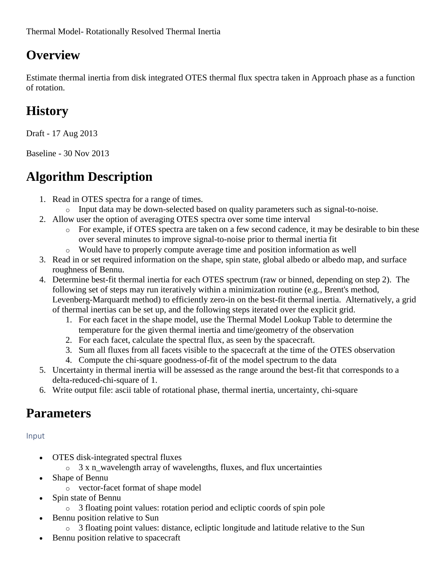## **Overview**

Estimate thermal inertia from disk integrated OTES thermal flux spectra taken in Approach phase as a function of rotation.

## **History**

Draft - 17 Aug 2013

Baseline - 30 Nov 2013

# **Algorithm Description**

- 1. Read in OTES spectra for a range of times.
	- o Input data may be down-selected based on quality parameters such as signal-to-noise.
- 2. Allow user the option of averaging OTES spectra over some time interval
	- o For example, if OTES spectra are taken on a few second cadence, it may be desirable to bin these over several minutes to improve signal-to-noise prior to thermal inertia fit
	- o Would have to properly compute average time and position information as well
- 3. Read in or set required information on the shape, spin state, global albedo or albedo map, and surface roughness of Bennu.
- 4. Determine best-fit thermal inertia for each OTES spectrum (raw or binned, depending on step 2). The following set of steps may run iteratively within a minimization routine (e.g., Brent's method, Levenberg-Marquardt method) to efficiently zero-in on the best-fit thermal inertia. Alternatively, a grid of thermal inertias can be set up, and the following steps iterated over the explicit grid.
	- 1. For each facet in the shape model, use the Thermal Model Lookup Table to determine the temperature for the given thermal inertia and time/geometry of the observation
	- 2. For each facet, calculate the spectral flux, as seen by the spacecraft.
	- 3. Sum all fluxes from all facets visible to the spacecraft at the time of the OTES observation
	- 4. Compute the chi-square goodness-of-fit of the model spectrum to the data
- 5. Uncertainty in thermal inertia will be assessed as the range around the best-fit that corresponds to a delta-reduced-chi-square of 1.
- 6. Write output file: ascii table of rotational phase, thermal inertia, uncertainty, chi-square

## **Parameters**

Input

- OTES disk-integrated spectral fluxes
	- o 3 x n\_wavelength array of wavelengths, fluxes, and flux uncertainties
- Shape of Bennu
	- o vector-facet format of shape model
- Spin state of Bennu
	- o 3 floating point values: rotation period and ecliptic coords of spin pole
- Bennu position relative to Sun
	- o 3 floating point values: distance, ecliptic longitude and latitude relative to the Sun
- Bennu position relative to spacecraft